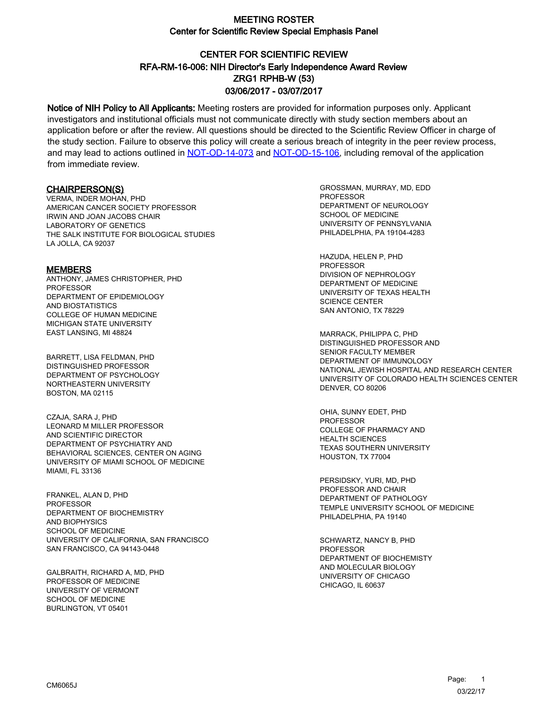# CENTER FOR SCIENTIFIC REVIEW ZRG1 RPHB-W (53) 03/06/2017 - 03/07/2017 RFA-RM-16-006: NIH Director's Early Independence Award Review

Notice of NIH Policy to All Applicants: Meeting rosters are provided for information purposes only. Applicant investigators and institutional officials must not communicate directly with study section members about an application before or after the review. All questions should be directed to the Scientific Review Officer in charge of the study section. Failure to observe this policy will create a serious breach of integrity in the peer review process, and may lead to actions outlined in [NOT-OD-14-073](https://grants.nih.gov/grants/guide/notice-files/NOT-OD-14-073.html) and [NOT-OD-15-106,](https://grants.nih.gov/grants/guide/notice-files/NOT-OD-15-106.html) including removal of the application from immediate review.

#### CHAIRPERSON(S)

VERMA, INDER MOHAN, PHD AMERICAN CANCER SOCIETY PROFESSOR IRWIN AND JOAN JACOBS CHAIR LABORATORY OF GENETICS THE SALK INSTITUTE FOR BIOLOGICAL STUDIES LA JOLLA, CA 92037

#### **MEMBERS**

ANTHONY, JAMES CHRISTOPHER, PHD PROFESSOR DEPARTMENT OF EPIDEMIOLOGY AND BIOSTATISTICS COLLEGE OF HUMAN MEDICINE MICHIGAN STATE UNIVERSITY EAST LANSING, MI 48824

BARRETT, LISA FELDMAN, PHD DISTINGUISHED PROFESSOR DEPARTMENT OF PSYCHOLOGY NORTHEASTERN UNIVERSITY BOSTON, MA 02115

CZAJA, SARA J, PHD LEONARD M MILLER PROFESSOR AND SCIENTIFIC DIRECTOR DEPARTMENT OF PSYCHIATRY AND BEHAVIORAL SCIENCES, CENTER ON AGING UNIVERSITY OF MIAMI SCHOOL OF MEDICINE MIAMI, FL 33136

FRANKEL, ALAN D, PHD PROFESSOR DEPARTMENT OF BIOCHEMISTRY AND BIOPHYSICS SCHOOL OF MEDICINE UNIVERSITY OF CALIFORNIA, SAN FRANCISCO SAN FRANCISCO, CA 94143-0448

GALBRAITH, RICHARD A, MD, PHD PROFESSOR OF MEDICINE UNIVERSITY OF VERMONT SCHOOL OF MEDICINE BURLINGTON, VT 05401

GROSSMAN, MURRAY, MD, EDD **PROFESSOR** DEPARTMENT OF NEUROLOGY SCHOOL OF MEDICINE UNIVERSITY OF PENNSYLVANIA PHILADELPHIA, PA 19104-4283

HAZUDA, HELEN P, PHD PROFESSOR DIVISION OF NEPHROLOGY DEPARTMENT OF MEDICINE UNIVERSITY OF TEXAS HEALTH SCIENCE CENTER SAN ANTONIO, TX 78229

MARRACK, PHILIPPA C, PHD DISTINGUISHED PROFESSOR AND SENIOR FACULTY MEMBER DEPARTMENT OF IMMUNOLOGY NATIONAL JEWISH HOSPITAL AND RESEARCH CENTER UNIVERSITY OF COLORADO HEALTH SCIENCES CENTER DENVER, CO 80206

OHIA, SUNNY EDET, PHD PROFESSOR COLLEGE OF PHARMACY AND HEALTH SCIENCES TEXAS SOUTHERN UNIVERSITY HOUSTON, TX 77004

PERSIDSKY, YURI, MD, PHD PROFESSOR AND CHAIR DEPARTMENT OF PATHOLOGY TEMPLE UNIVERSITY SCHOOL OF MEDICINE PHILADELPHIA, PA 19140

SCHWARTZ, NANCY B, PHD PROFESSOR DEPARTMENT OF BIOCHEMISTY AND MOLECULAR BIOLOGY UNIVERSITY OF CHICAGO CHICAGO, IL 60637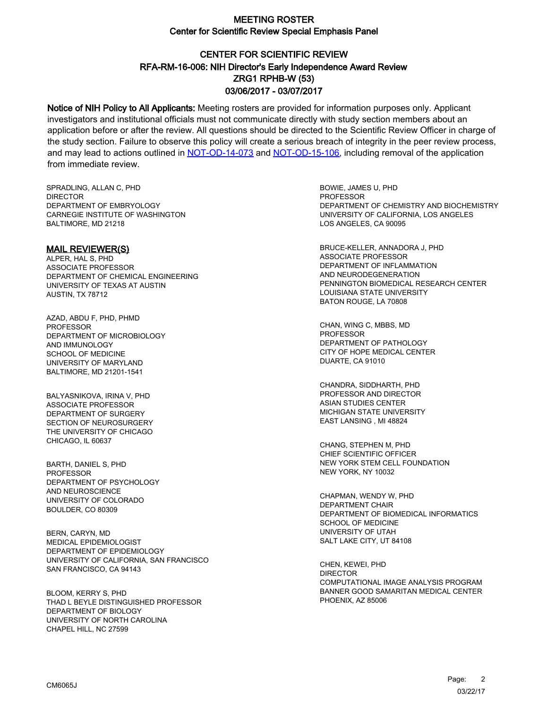# CENTER FOR SCIENTIFIC REVIEW ZRG1 RPHB-W (53) 03/06/2017 - 03/07/2017 RFA-RM-16-006: NIH Director's Early Independence Award Review

Notice of NIH Policy to All Applicants: Meeting rosters are provided for information purposes only. Applicant investigators and institutional officials must not communicate directly with study section members about an application before or after the review. All questions should be directed to the Scientific Review Officer in charge of the study section. Failure to observe this policy will create a serious breach of integrity in the peer review process, and may lead to actions outlined in [NOT-OD-14-073](https://grants.nih.gov/grants/guide/notice-files/NOT-OD-14-073.html) and [NOT-OD-15-106,](https://grants.nih.gov/grants/guide/notice-files/NOT-OD-15-106.html) including removal of the application from immediate review.

SPRADLING, ALLAN C, PHD **DIRECTOR** DEPARTMENT OF EMBRYOLOGY CARNEGIE INSTITUTE OF WASHINGTON BALTIMORE, MD 21218

MAIL REVIEWER(S) ALPER, HAL S, PHD ASSOCIATE PROFESSOR DEPARTMENT OF CHEMICAL ENGINEERING UNIVERSITY OF TEXAS AT AUSTIN AUSTIN, TX 78712

AZAD, ABDU F, PHD, PHMD PROFESSOR DEPARTMENT OF MICROBIOLOGY AND IMMUNOLOGY SCHOOL OF MEDICINE UNIVERSITY OF MARYLAND BALTIMORE, MD 21201-1541

BALYASNIKOVA, IRINA V, PHD ASSOCIATE PROFESSOR DEPARTMENT OF SURGERY SECTION OF NEUROSURGERY THE UNIVERSITY OF CHICAGO CHICAGO, IL 60637

BARTH, DANIEL S, PHD PROFESSOR DEPARTMENT OF PSYCHOLOGY AND NEUROSCIENCE UNIVERSITY OF COLORADO BOULDER, CO 80309

BERN, CARYN, MD MEDICAL EPIDEMIOLOGIST DEPARTMENT OF EPIDEMIOLOGY UNIVERSITY OF CALIFORNIA, SAN FRANCISCO SAN FRANCISCO, CA 94143

BLOOM, KERRY S, PHD THAD L BEYLE DISTINGUISHED PROFESSOR DEPARTMENT OF BIOLOGY UNIVERSITY OF NORTH CAROLINA CHAPEL HILL, NC 27599

BOWIE, JAMES U, PHD **PROFESSOR** DEPARTMENT OF CHEMISTRY AND BIOCHEMISTRY UNIVERSITY OF CALIFORNIA, LOS ANGELES LOS ANGELES, CA 90095

BRUCE-KELLER, ANNADORA J, PHD ASSOCIATE PROFESSOR DEPARTMENT OF INFLAMMATION AND NEURODEGENERATION PENNINGTON BIOMEDICAL RESEARCH CENTER LOUISIANA STATE UNIVERSITY BATON ROUGE, LA 70808

CHAN, WING C, MBBS, MD **PROFESSOR** DEPARTMENT OF PATHOLOGY CITY OF HOPE MEDICAL CENTER DUARTE, CA 91010

CHANDRA, SIDDHARTH, PHD PROFESSOR AND DIRECTOR ASIAN STUDIES CENTER MICHIGAN STATE UNIVERSITY EAST LANSING , MI 48824

CHANG, STEPHEN M, PHD CHIEF SCIENTIFIC OFFICER NEW YORK STEM CELL FOUNDATION NEW YORK, NY 10032

CHAPMAN, WENDY W, PHD DEPARTMENT CHAIR DEPARTMENT OF BIOMEDICAL INFORMATICS SCHOOL OF MEDICINE UNIVERSITY OF UTAH SALT LAKE CITY, UT 84108

CHEN, KEWEI, PHD DIRECTOR COMPUTATIONAL IMAGE ANALYSIS PROGRAM BANNER GOOD SAMARITAN MEDICAL CENTER PHOENIX, AZ 85006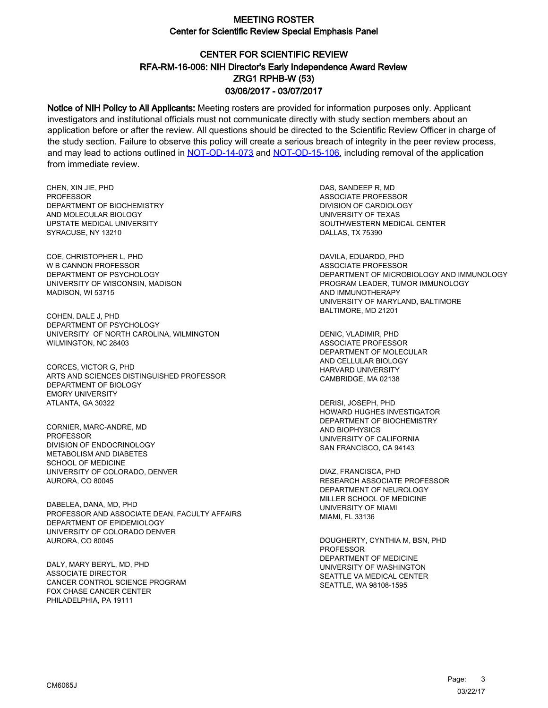# CENTER FOR SCIENTIFIC REVIEW ZRG1 RPHB-W (53) 03/06/2017 - 03/07/2017 RFA-RM-16-006: NIH Director's Early Independence Award Review

Notice of NIH Policy to All Applicants: Meeting rosters are provided for information purposes only. Applicant investigators and institutional officials must not communicate directly with study section members about an application before or after the review. All questions should be directed to the Scientific Review Officer in charge of the study section. Failure to observe this policy will create a serious breach of integrity in the peer review process, and may lead to actions outlined in [NOT-OD-14-073](https://grants.nih.gov/grants/guide/notice-files/NOT-OD-14-073.html) and [NOT-OD-15-106,](https://grants.nih.gov/grants/guide/notice-files/NOT-OD-15-106.html) including removal of the application from immediate review.

CHEN, XIN JIE, PHD **PROFESSOR** DEPARTMENT OF BIOCHEMISTRY AND MOLECULAR BIOLOGY UPSTATE MEDICAL UNIVERSITY SYRACUSE, NY 13210

COE, CHRISTOPHER L, PHD W B CANNON PROFESSOR DEPARTMENT OF PSYCHOLOGY UNIVERSITY OF WISCONSIN, MADISON MADISON, WI 53715

COHEN, DALE J, PHD DEPARTMENT OF PSYCHOLOGY UNIVERSITY OF NORTH CAROLINA, WILMINGTON WILMINGTON, NC 28403

CORCES, VICTOR G, PHD ARTS AND SCIENCES DISTINGUISHED PROFESSOR DEPARTMENT OF BIOLOGY EMORY UNIVERSITY ATLANTA, GA 30322

CORNIER, MARC-ANDRE, MD PROFESSOR DIVISION OF ENDOCRINOLOGY METABOLISM AND DIABETES SCHOOL OF MEDICINE UNIVERSITY OF COLORADO, DENVER AURORA, CO 80045

DABELEA, DANA, MD, PHD PROFESSOR AND ASSOCIATE DEAN, FACULTY AFFAIRS DEPARTMENT OF EPIDEMIOLOGY UNIVERSITY OF COLORADO DENVER AURORA, CO 80045

DALY, MARY BERYL, MD, PHD ASSOCIATE DIRECTOR CANCER CONTROL SCIENCE PROGRAM FOX CHASE CANCER CENTER PHILADELPHIA, PA 19111

DAS, SANDEEP R, MD ASSOCIATE PROFESSOR DIVISION OF CARDIOLOGY UNIVERSITY OF TEXAS SOUTHWESTERN MEDICAL CENTER DALLAS, TX 75390

DAVILA, EDUARDO, PHD ASSOCIATE PROFESSOR DEPARTMENT OF MICROBIOLOGY AND IMMUNOLOGY PROGRAM LEADER, TUMOR IMMUNOLOGY AND IMMUNOTHERAPY UNIVERSITY OF MARYLAND, BALTIMORE BALTIMORE, MD 21201

DENIC, VLADIMIR, PHD ASSOCIATE PROFESSOR DEPARTMENT OF MOLECULAR AND CELLULAR BIOLOGY HARVARD UNIVERSITY CAMBRIDGE, MA 02138

DERISI, JOSEPH, PHD HOWARD HUGHES INVESTIGATOR DEPARTMENT OF BIOCHEMISTRY AND BIOPHYSICS UNIVERSITY OF CALIFORNIA SAN FRANCISCO, CA 94143

DIAZ, FRANCISCA, PHD RESEARCH ASSOCIATE PROFESSOR DEPARTMENT OF NEUROLOGY MILLER SCHOOL OF MEDICINE UNIVERSITY OF MIAMI MIAMI, FL 33136

DOUGHERTY, CYNTHIA M, BSN, PHD PROFESSOR DEPARTMENT OF MEDICINE UNIVERSITY OF WASHINGTON SEATTLE VA MEDICAL CENTER SEATTLE, WA 98108-1595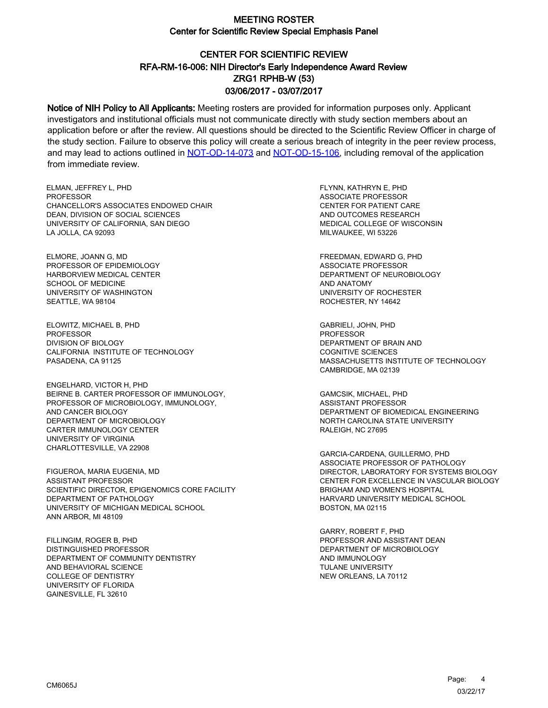# CENTER FOR SCIENTIFIC REVIEW ZRG1 RPHB-W (53) 03/06/2017 - 03/07/2017 RFA-RM-16-006: NIH Director's Early Independence Award Review

Notice of NIH Policy to All Applicants: Meeting rosters are provided for information purposes only. Applicant investigators and institutional officials must not communicate directly with study section members about an application before or after the review. All questions should be directed to the Scientific Review Officer in charge of the study section. Failure to observe this policy will create a serious breach of integrity in the peer review process, and may lead to actions outlined in [NOT-OD-14-073](https://grants.nih.gov/grants/guide/notice-files/NOT-OD-14-073.html) and [NOT-OD-15-106,](https://grants.nih.gov/grants/guide/notice-files/NOT-OD-15-106.html) including removal of the application from immediate review.

ELMAN, JEFFREY L, PHD PROFESSOR CHANCELLOR'S ASSOCIATES ENDOWED CHAIR DEAN, DIVISION OF SOCIAL SCIENCES UNIVERSITY OF CALIFORNIA, SAN DIEGO LA JOLLA, CA 92093

ELMORE, JOANN G, MD PROFESSOR OF EPIDEMIOLOGY HARBORVIEW MEDICAL CENTER SCHOOL OF MEDICINE UNIVERSITY OF WASHINGTON SEATTLE, WA 98104

ELOWITZ, MICHAEL B, PHD **PROFESSOR** DIVISION OF BIOLOGY CALIFORNIA INSTITUTE OF TECHNOLOGY PASADENA, CA 91125

ENGELHARD, VICTOR H, PHD BEIRNE B. CARTER PROFESSOR OF IMMUNOLOGY, PROFESSOR OF MICROBIOLOGY, IMMUNOLOGY, AND CANCER BIOLOGY DEPARTMENT OF MICROBIOLOGY CARTER IMMUNOLOGY CENTER UNIVERSITY OF VIRGINIA CHARLOTTESVILLE, VA 22908

FIGUEROA, MARIA EUGENIA, MD ASSISTANT PROFESSOR SCIENTIFIC DIRECTOR, EPIGENOMICS CORE FACILITY DEPARTMENT OF PATHOLOGY UNIVERSITY OF MICHIGAN MEDICAL SCHOOL ANN ARBOR, MI 48109

FILLINGIM, ROGER B, PHD DISTINGUISHED PROFESSOR DEPARTMENT OF COMMUNITY DENTISTRY AND BEHAVIORAL SCIENCE COLLEGE OF DENTISTRY UNIVERSITY OF FLORIDA GAINESVILLE, FL 32610

FLYNN, KATHRYN E, PHD ASSOCIATE PROFESSOR CENTER FOR PATIENT CARE AND OUTCOMES RESEARCH MEDICAL COLLEGE OF WISCONSIN MILWAUKEE, WI 53226

FREEDMAN, EDWARD G, PHD ASSOCIATE PROFESSOR DEPARTMENT OF NEUROBIOLOGY AND ANATOMY UNIVERSITY OF ROCHESTER ROCHESTER, NY 14642

GABRIELI, JOHN, PHD **PROFESSOR** DEPARTMENT OF BRAIN AND COGNITIVE SCIENCES MASSACHUSETTS INSTITUTE OF TECHNOLOGY CAMBRIDGE, MA 02139

GAMCSIK, MICHAEL, PHD ASSISTANT PROFESSOR DEPARTMENT OF BIOMEDICAL ENGINEERING NORTH CAROLINA STATE UNIVERSITY RALEIGH, NC 27695

GARCIA-CARDENA, GUILLERMO, PHD ASSOCIATE PROFESSOR OF PATHOLOGY DIRECTOR, LABORATORY FOR SYSTEMS BIOLOGY CENTER FOR EXCELLENCE IN VASCULAR BIOLOGY BRIGHAM AND WOMEN'S HOSPITAL HARVARD UNIVERSITY MEDICAL SCHOOL BOSTON, MA 02115

GARRY, ROBERT F, PHD PROFESSOR AND ASSISTANT DEAN DEPARTMENT OF MICROBIOLOGY AND IMMUNOLOGY TULANE UNIVERSITY NEW ORLEANS, LA 70112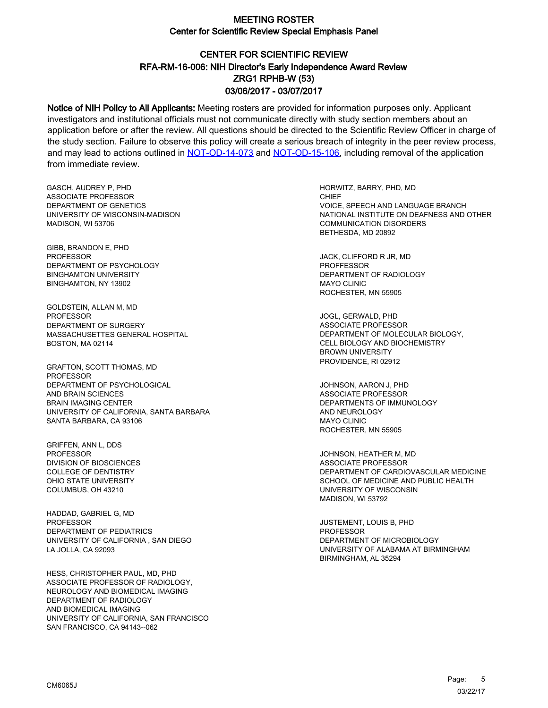# CENTER FOR SCIENTIFIC REVIEW ZRG1 RPHB-W (53) 03/06/2017 - 03/07/2017 RFA-RM-16-006: NIH Director's Early Independence Award Review

Notice of NIH Policy to All Applicants: Meeting rosters are provided for information purposes only. Applicant investigators and institutional officials must not communicate directly with study section members about an application before or after the review. All questions should be directed to the Scientific Review Officer in charge of the study section. Failure to observe this policy will create a serious breach of integrity in the peer review process, and may lead to actions outlined in [NOT-OD-14-073](https://grants.nih.gov/grants/guide/notice-files/NOT-OD-14-073.html) and [NOT-OD-15-106,](https://grants.nih.gov/grants/guide/notice-files/NOT-OD-15-106.html) including removal of the application from immediate review.

GASCH, AUDREY P, PHD ASSOCIATE PROFESSOR DEPARTMENT OF GENETICS UNIVERSITY OF WISCONSIN-MADISON MADISON, WI 53706

GIBB, BRANDON E, PHD PROFESSOR DEPARTMENT OF PSYCHOLOGY BINGHAMTON UNIVERSITY BINGHAMTON, NY 13902

GOLDSTEIN, ALLAN M, MD **PROFESSOR** DEPARTMENT OF SURGERY MASSACHUSETTES GENERAL HOSPITAL BOSTON, MA 02114

GRAFTON, SCOTT THOMAS, MD **PROFESSOR** DEPARTMENT OF PSYCHOLOGICAL AND BRAIN SCIENCES BRAIN IMAGING CENTER UNIVERSITY OF CALIFORNIA, SANTA BARBARA SANTA BARBARA, CA 93106

GRIFFEN, ANN L, DDS PROFESSOR DIVISION OF BIOSCIENCES COLLEGE OF DENTISTRY OHIO STATE UNIVERSITY COLUMBUS, OH 43210

HADDAD, GABRIEL G, MD **PROFESSOR** DEPARTMENT OF PEDIATRICS UNIVERSITY OF CALIFORNIA , SAN DIEGO LA JOLLA, CA 92093

HESS, CHRISTOPHER PAUL, MD, PHD ASSOCIATE PROFESSOR OF RADIOLOGY, NEUROLOGY AND BIOMEDICAL IMAGING DEPARTMENT OF RADIOLOGY AND BIOMEDICAL IMAGING UNIVERSITY OF CALIFORNIA, SAN FRANCISCO SAN FRANCISCO, CA 94143--062

HORWITZ, BARRY, PHD, MD CHIEF VOICE, SPEECH AND LANGUAGE BRANCH NATIONAL INSTITUTE ON DEAFNESS AND OTHER COMMUNICATION DISORDERS BETHESDA, MD 20892

JACK, CLIFFORD R JR, MD PROFFESSOR DEPARTMENT OF RADIOLOGY MAYO CLINIC ROCHESTER, MN 55905

JOGL, GERWALD, PHD ASSOCIATE PROFESSOR DEPARTMENT OF MOLECULAR BIOLOGY, CELL BIOLOGY AND BIOCHEMISTRY BROWN UNIVERSITY PROVIDENCE, RI 02912

JOHNSON, AARON J, PHD ASSOCIATE PROFESSOR DEPARTMENTS OF IMMUNOLOGY AND NEUROLOGY MAYO CLINIC ROCHESTER, MN 55905

JOHNSON, HEATHER M, MD ASSOCIATE PROFESSOR DEPARTMENT OF CARDIOVASCULAR MEDICINE SCHOOL OF MEDICINE AND PUBLIC HEALTH UNIVERSITY OF WISCONSIN MADISON, WI 53792

JUSTEMENT, LOUIS B, PHD PROFESSOR DEPARTMENT OF MICROBIOLOGY UNIVERSITY OF ALABAMA AT BIRMINGHAM BIRMINGHAM, AL 35294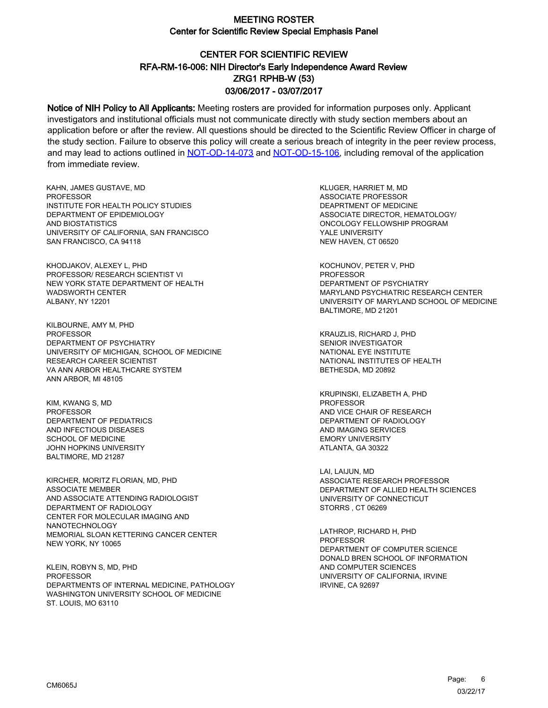# CENTER FOR SCIENTIFIC REVIEW ZRG1 RPHB-W (53) 03/06/2017 - 03/07/2017 RFA-RM-16-006: NIH Director's Early Independence Award Review

Notice of NIH Policy to All Applicants: Meeting rosters are provided for information purposes only. Applicant investigators and institutional officials must not communicate directly with study section members about an application before or after the review. All questions should be directed to the Scientific Review Officer in charge of the study section. Failure to observe this policy will create a serious breach of integrity in the peer review process, and may lead to actions outlined in [NOT-OD-14-073](https://grants.nih.gov/grants/guide/notice-files/NOT-OD-14-073.html) and [NOT-OD-15-106,](https://grants.nih.gov/grants/guide/notice-files/NOT-OD-15-106.html) including removal of the application from immediate review.

KAHN, JAMES GUSTAVE, MD **PROFESSOR** INSTITUTE FOR HEALTH POLICY STUDIES DEPARTMENT OF EPIDEMIOLOGY AND BIOSTATISTICS UNIVERSITY OF CALIFORNIA, SAN FRANCISCO SAN FRANCISCO, CA 94118

KHODJAKOV, ALEXEY L, PHD PROFESSOR/ RESEARCH SCIENTIST VI NEW YORK STATE DEPARTMENT OF HEALTH WADSWORTH CENTER ALBANY, NY 12201

KILBOURNE, AMY M, PHD **PROFESSOR** DEPARTMENT OF PSYCHIATRY UNIVERSITY OF MICHIGAN, SCHOOL OF MEDICINE RESEARCH CAREER SCIENTIST VA ANN ARBOR HEALTHCARE SYSTEM ANN ARBOR, MI 48105

KIM, KWANG S, MD PROFESSOR DEPARTMENT OF PEDIATRICS AND INFECTIOUS DISEASES SCHOOL OF MEDICINE JOHN HOPKINS UNIVERSITY BALTIMORE, MD 21287

KIRCHER, MORITZ FLORIAN, MD, PHD ASSOCIATE MEMBER AND ASSOCIATE ATTENDING RADIOLOGIST DEPARTMENT OF RADIOLOGY CENTER FOR MOLECULAR IMAGING AND NANOTECHNOLOGY MEMORIAL SLOAN KETTERING CANCER CENTER NEW YORK, NY 10065

KLEIN, ROBYN S, MD, PHD PROFESSOR DEPARTMENTS OF INTERNAL MEDICINE, PATHOLOGY WASHINGTON UNIVERSITY SCHOOL OF MEDICINE ST. LOUIS, MO 63110

KLUGER, HARRIET M, MD ASSOCIATE PROFESSOR DEAPRTMENT OF MEDICINE ASSOCIATE DIRECTOR, HEMATOLOGY/ ONCOLOGY FELLOWSHIP PROGRAM YALE UNIVERSITY NEW HAVEN, CT 06520

KOCHUNOV, PETER V, PHD PROFESSOR DEPARTMENT OF PSYCHIATRY MARYLAND PSYCHIATRIC RESEARCH CENTER UNIVERSITY OF MARYLAND SCHOOL OF MEDICINE BALTIMORE, MD 21201

KRAUZLIS, RICHARD J, PHD SENIOR INVESTIGATOR NATIONAL EYE INSTITUTE NATIONAL INSTITUTES OF HEALTH BETHESDA, MD 20892

KRUPINSKI, ELIZABETH A, PHD PROFESSOR AND VICE CHAIR OF RESEARCH DEPARTMENT OF RADIOLOGY AND IMAGING SERVICES EMORY UNIVERSITY ATLANTA, GA 30322

LAI, LAIJUN, MD ASSOCIATE RESEARCH PROFESSOR DEPARTMENT OF ALLIED HEALTH SCIENCES UNIVERSITY OF CONNECTICUT STORRS , CT 06269

LATHROP, RICHARD H, PHD **PROFESSOR** DEPARTMENT OF COMPUTER SCIENCE DONALD BREN SCHOOL OF INFORMATION AND COMPUTER SCIENCES UNIVERSITY OF CALIFORNIA, IRVINE IRVINE, CA 92697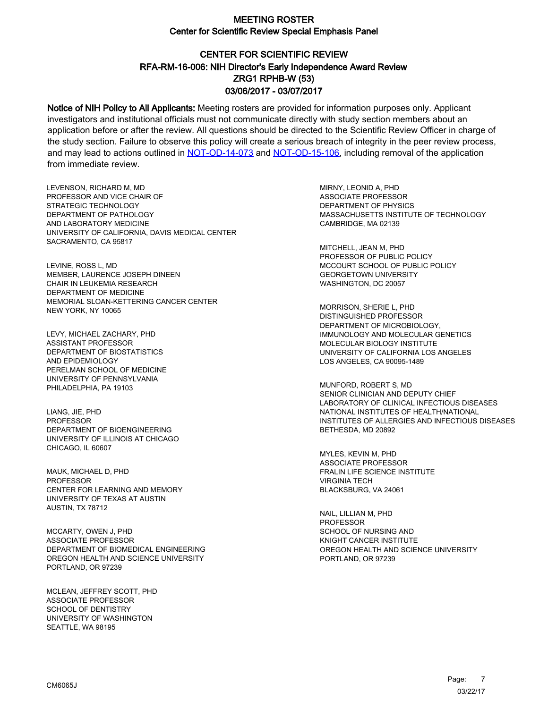# CENTER FOR SCIENTIFIC REVIEW ZRG1 RPHB-W (53) 03/06/2017 - 03/07/2017 RFA-RM-16-006: NIH Director's Early Independence Award Review

Notice of NIH Policy to All Applicants: Meeting rosters are provided for information purposes only. Applicant investigators and institutional officials must not communicate directly with study section members about an application before or after the review. All questions should be directed to the Scientific Review Officer in charge of the study section. Failure to observe this policy will create a serious breach of integrity in the peer review process, and may lead to actions outlined in [NOT-OD-14-073](https://grants.nih.gov/grants/guide/notice-files/NOT-OD-14-073.html) and [NOT-OD-15-106,](https://grants.nih.gov/grants/guide/notice-files/NOT-OD-15-106.html) including removal of the application from immediate review.

LEVENSON, RICHARD M, MD PROFESSOR AND VICE CHAIR OF STRATEGIC TECHNOLOGY DEPARTMENT OF PATHOLOGY AND LABORATORY MEDICINE UNIVERSITY OF CALIFORNIA, DAVIS MEDICAL CENTER SACRAMENTO, CA 95817

LEVINE, ROSS L, MD MEMBER, LAURENCE JOSEPH DINEEN CHAIR IN LEUKEMIA RESEARCH DEPARTMENT OF MEDICINE MEMORIAL SLOAN-KETTERING CANCER CENTER NEW YORK, NY 10065

LEVY, MICHAEL ZACHARY, PHD ASSISTANT PROFESSOR DEPARTMENT OF BIOSTATISTICS AND EPIDEMIOLOGY PERELMAN SCHOOL OF MEDICINE UNIVERSITY OF PENNSYLVANIA PHILADELPHIA, PA 19103

LIANG, JIE, PHD PROFESSOR DEPARTMENT OF BIOENGINEERING UNIVERSITY OF ILLINOIS AT CHICAGO CHICAGO, IL 60607

MAUK, MICHAEL D, PHD **PROFESSOR** CENTER FOR LEARNING AND MEMORY UNIVERSITY OF TEXAS AT AUSTIN AUSTIN, TX 78712

MCCARTY, OWEN J, PHD ASSOCIATE PROFESSOR DEPARTMENT OF BIOMEDICAL ENGINEERING OREGON HEALTH AND SCIENCE UNIVERSITY PORTLAND, OR 97239

MCLEAN, JEFFREY SCOTT, PHD ASSOCIATE PROFESSOR SCHOOL OF DENTISTRY UNIVERSITY OF WASHINGTON SEATTLE, WA 98195

MIRNY, LEONID A, PHD ASSOCIATE PROFESSOR DEPARTMENT OF PHYSICS MASSACHUSETTS INSTITUTE OF TECHNOLOGY CAMBRIDGE, MA 02139

MITCHELL, JEAN M, PHD PROFESSOR OF PUBLIC POLICY MCCOURT SCHOOL OF PUBLIC POLICY GEORGETOWN UNIVERSITY WASHINGTON, DC 20057

MORRISON, SHERIE L, PHD DISTINGUISHED PROFESSOR DEPARTMENT OF MICROBIOLOGY, IMMUNOLOGY AND MOLECULAR GENETICS MOLECULAR BIOLOGY INSTITUTE UNIVERSITY OF CALIFORNIA LOS ANGELES LOS ANGELES, CA 90095-1489

MUNFORD, ROBERT S, MD SENIOR CLINICIAN AND DEPUTY CHIEF LABORATORY OF CLINICAL INFECTIOUS DISEASES NATIONAL INSTITUTES OF HEALTH/NATIONAL INSTITUTES OF ALLERGIES AND INFECTIOUS DISEASES BETHESDA, MD 20892

MYLES, KEVIN M, PHD ASSOCIATE PROFESSOR FRALIN LIFE SCIENCE INSTITUTE VIRGINIA TECH BLACKSBURG, VA 24061

NAIL, LILLIAN M, PHD **PROFESSOR** SCHOOL OF NURSING AND KNIGHT CANCER INSTITUTE OREGON HEALTH AND SCIENCE UNIVERSITY PORTLAND, OR 97239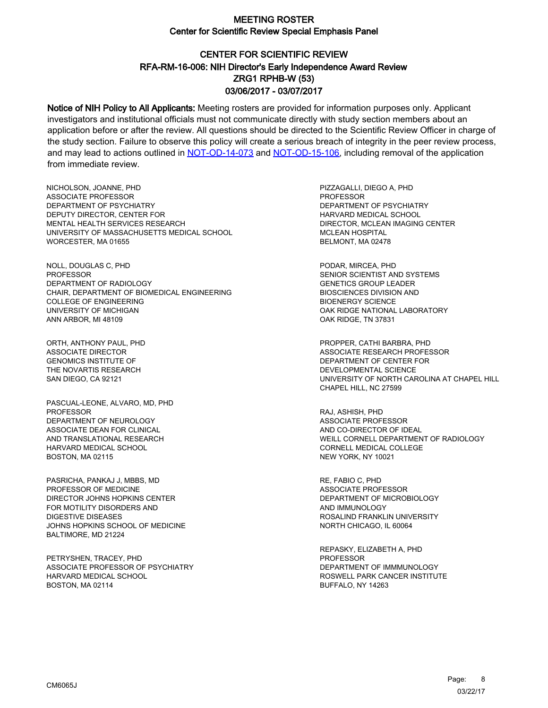# CENTER FOR SCIENTIFIC REVIEW ZRG1 RPHB-W (53) 03/06/2017 - 03/07/2017 RFA-RM-16-006: NIH Director's Early Independence Award Review

Notice of NIH Policy to All Applicants: Meeting rosters are provided for information purposes only. Applicant investigators and institutional officials must not communicate directly with study section members about an application before or after the review. All questions should be directed to the Scientific Review Officer in charge of the study section. Failure to observe this policy will create a serious breach of integrity in the peer review process, and may lead to actions outlined in [NOT-OD-14-073](https://grants.nih.gov/grants/guide/notice-files/NOT-OD-14-073.html) and [NOT-OD-15-106,](https://grants.nih.gov/grants/guide/notice-files/NOT-OD-15-106.html) including removal of the application from immediate review.

NICHOLSON, JOANNE, PHD ASSOCIATE PROFESSOR DEPARTMENT OF PSYCHIATRY DEPUTY DIRECTOR, CENTER FOR MENTAL HEALTH SERVICES RESEARCH UNIVERSITY OF MASSACHUSETTS MEDICAL SCHOOL WORCESTER, MA 01655

NOLL, DOUGLAS C, PHD PROFESSOR DEPARTMENT OF RADIOLOGY CHAIR, DEPARTMENT OF BIOMEDICAL ENGINEERING COLLEGE OF ENGINEERING UNIVERSITY OF MICHIGAN ANN ARBOR, MI 48109

ORTH, ANTHONY PAUL, PHD ASSOCIATE DIRECTOR GENOMICS INSTITUTE OF THE NOVARTIS RESEARCH SAN DIEGO, CA 92121

PASCUAL-LEONE, ALVARO, MD, PHD PROFESSOR DEPARTMENT OF NEUROLOGY ASSOCIATE DEAN FOR CLINICAL AND TRANSLATIONAL RESEARCH HARVARD MEDICAL SCHOOL BOSTON, MA 02115

PASRICHA, PANKAJ J, MBBS, MD PROFESSOR OF MEDICINE DIRECTOR JOHNS HOPKINS CENTER FOR MOTILITY DISORDERS AND DIGESTIVE DISEASES JOHNS HOPKINS SCHOOL OF MEDICINE BALTIMORE, MD 21224

PETRYSHEN, TRACEY, PHD ASSOCIATE PROFESSOR OF PSYCHIATRY HARVARD MEDICAL SCHOOL BOSTON, MA 02114

PIZZAGALLI, DIEGO A, PHD **PROFESSOR** DEPARTMENT OF PSYCHIATRY HARVARD MEDICAL SCHOOL DIRECTOR, MCLEAN IMAGING CENTER MCLEAN HOSPITAL BELMONT, MA 02478

PODAR, MIRCEA, PHD SENIOR SCIENTIST AND SYSTEMS GENETICS GROUP LEADER BIOSCIENCES DIVISION AND BIOENERGY SCIENCE OAK RIDGE NATIONAL LABORATORY OAK RIDGE, TN 37831

PROPPER, CATHI BARBRA, PHD ASSOCIATE RESEARCH PROFESSOR DEPARTMENT OF CENTER FOR DEVELOPMENTAL SCIENCE UNIVERSITY OF NORTH CAROLINA AT CHAPEL HILL CHAPEL HILL, NC 27599

RAJ, ASHISH, PHD ASSOCIATE PROFESSOR AND CO-DIRECTOR OF IDEAL WEILL CORNELL DEPARTMENT OF RADIOLOGY CORNELL MEDICAL COLLEGE NEW YORK, NY 10021

RE, FABIO C, PHD ASSOCIATE PROFESSOR DEPARTMENT OF MICROBIOLOGY AND IMMUNOLOGY ROSALIND FRANKLIN UNIVERSITY NORTH CHICAGO, IL 60064

REPASKY, ELIZABETH A, PHD **PROFESSOR** DEPARTMENT OF IMMMUNOLOGY ROSWELL PARK CANCER INSTITUTE BUFFALO, NY 14263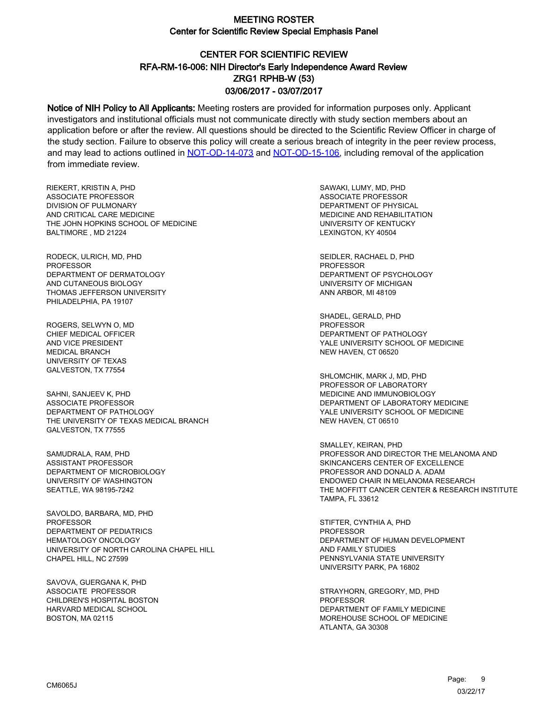# CENTER FOR SCIENTIFIC REVIEW ZRG1 RPHB-W (53) 03/06/2017 - 03/07/2017 RFA-RM-16-006: NIH Director's Early Independence Award Review

Notice of NIH Policy to All Applicants: Meeting rosters are provided for information purposes only. Applicant investigators and institutional officials must not communicate directly with study section members about an application before or after the review. All questions should be directed to the Scientific Review Officer in charge of the study section. Failure to observe this policy will create a serious breach of integrity in the peer review process, and may lead to actions outlined in [NOT-OD-14-073](https://grants.nih.gov/grants/guide/notice-files/NOT-OD-14-073.html) and [NOT-OD-15-106,](https://grants.nih.gov/grants/guide/notice-files/NOT-OD-15-106.html) including removal of the application from immediate review.

RIEKERT, KRISTIN A, PHD ASSOCIATE PROFESSOR DIVISION OF PULMONARY AND CRITICAL CARE MEDICINE THE JOHN HOPKINS SCHOOL OF MEDICINE BALTIMORE , MD 21224

RODECK, ULRICH, MD, PHD PROFESSOR DEPARTMENT OF DERMATOLOGY AND CUTANEOUS BIOLOGY THOMAS JEFFERSON UNIVERSITY PHILADELPHIA, PA 19107

ROGERS, SELWYN O, MD CHIEF MEDICAL OFFICER AND VICE PRESIDENT MEDICAL BRANCH UNIVERSITY OF TEXAS GALVESTON, TX 77554

SAHNI, SANJEEV K, PHD ASSOCIATE PROFESSOR DEPARTMENT OF PATHOLOGY THE UNIVERSITY OF TEXAS MEDICAL BRANCH GALVESTON, TX 77555

SAMUDRALA, RAM, PHD ASSISTANT PROFESSOR DEPARTMENT OF MICROBIOLOGY UNIVERSITY OF WASHINGTON SEATTLE, WA 98195-7242

SAVOLDO, BARBARA, MD, PHD PROFESSOR DEPARTMENT OF PEDIATRICS HEMATOLOGY ONCOLOGY UNIVERSITY OF NORTH CAROLINA CHAPEL HILL CHAPEL HILL, NC 27599

SAVOVA, GUERGANA K, PHD ASSOCIATE PROFESSOR CHILDREN'S HOSPITAL BOSTON HARVARD MEDICAL SCHOOL BOSTON, MA 02115

SAWAKI, LUMY, MD, PHD ASSOCIATE PROFESSOR DEPARTMENT OF PHYSICAL MEDICINE AND REHABILITATION UNIVERSITY OF KENTUCKY LEXINGTON, KY 40504

SEIDLER, RACHAEL D, PHD PROFESSOR DEPARTMENT OF PSYCHOLOGY UNIVERSITY OF MICHIGAN ANN ARBOR, MI 48109

SHADEL, GERALD, PHD PROFESSOR DEPARTMENT OF PATHOLOGY YALE UNIVERSITY SCHOOL OF MEDICINE NEW HAVEN, CT 06520

SHLOMCHIK, MARK J, MD, PHD PROFESSOR OF LABORATORY MEDICINE AND IMMUNOBIOLOGY DEPARTMENT OF LABORATORY MEDICINE YALE UNIVERSITY SCHOOL OF MEDICINE NEW HAVEN, CT 06510

SMALLEY, KEIRAN, PHD PROFESSOR AND DIRECTOR THE MELANOMA AND SKINCANCERS CENTER OF EXCELLENCE PROFESSOR AND DONALD A. ADAM ENDOWED CHAIR IN MELANOMA RESEARCH THE MOFFITT CANCER CENTER & RESEARCH INSTITUTE TAMPA, FL 33612

STIFTER, CYNTHIA A, PHD PROFESSOR DEPARTMENT OF HUMAN DEVELOPMENT AND FAMILY STUDIES PENNSYLVANIA STATE UNIVERSITY UNIVERSITY PARK, PA 16802

STRAYHORN, GREGORY, MD, PHD PROFESSOR DEPARTMENT OF FAMILY MEDICINE MOREHOUSE SCHOOL OF MEDICINE ATLANTA, GA 30308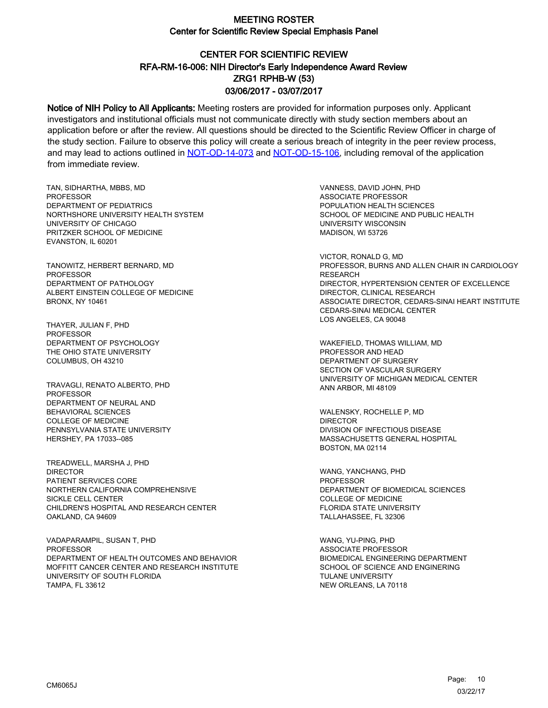# CENTER FOR SCIENTIFIC REVIEW ZRG1 RPHB-W (53) 03/06/2017 - 03/07/2017 RFA-RM-16-006: NIH Director's Early Independence Award Review

Notice of NIH Policy to All Applicants: Meeting rosters are provided for information purposes only. Applicant investigators and institutional officials must not communicate directly with study section members about an application before or after the review. All questions should be directed to the Scientific Review Officer in charge of the study section. Failure to observe this policy will create a serious breach of integrity in the peer review process, and may lead to actions outlined in [NOT-OD-14-073](https://grants.nih.gov/grants/guide/notice-files/NOT-OD-14-073.html) and [NOT-OD-15-106,](https://grants.nih.gov/grants/guide/notice-files/NOT-OD-15-106.html) including removal of the application from immediate review.

TAN, SIDHARTHA, MBBS, MD PROFESSOR DEPARTMENT OF PEDIATRICS NORTHSHORE UNIVERSITY HEALTH SYSTEM UNIVERSITY OF CHICAGO PRITZKER SCHOOL OF MEDICINE EVANSTON, IL 60201

TANOWITZ, HERBERT BERNARD, MD PROFESSOR DEPARTMENT OF PATHOLOGY ALBERT EINSTEIN COLLEGE OF MEDICINE BRONX, NY 10461

THAYER, JULIAN F, PHD **PROFESSOR** DEPARTMENT OF PSYCHOLOGY THE OHIO STATE UNIVERSITY COLUMBUS, OH 43210

TRAVAGLI, RENATO ALBERTO, PHD PROFESSOR DEPARTMENT OF NEURAL AND BEHAVIORAL SCIENCES COLLEGE OF MEDICINE PENNSYLVANIA STATE UNIVERSITY HERSHEY, PA 17033--085

TREADWELL, MARSHA J, PHD DIRECTOR PATIENT SERVICES CORE NORTHERN CALIFORNIA COMPREHENSIVE SICKLE CELL CENTER CHILDREN'S HOSPITAL AND RESEARCH CENTER OAKLAND, CA 94609

VADAPARAMPIL, SUSAN T, PHD PROFESSOR DEPARTMENT OF HEALTH OUTCOMES AND BEHAVIOR MOFFITT CANCER CENTER AND RESEARCH INSTITUTE UNIVERSITY OF SOUTH FLORIDA TAMPA, FL 33612

VANNESS, DAVID JOHN, PHD ASSOCIATE PROFESSOR POPULATION HEALTH SCIENCES SCHOOL OF MEDICINE AND PUBLIC HEALTH UNIVERSITY WISCONSIN MADISON, WI 53726

VICTOR, RONALD G, MD PROFESSOR, BURNS AND ALLEN CHAIR IN CARDIOLOGY RESEARCH DIRECTOR, HYPERTENSION CENTER OF EXCELLENCE DIRECTOR, CLINICAL RESEARCH ASSOCIATE DIRECTOR, CEDARS-SINAI HEART INSTITUTE CEDARS-SINAI MEDICAL CENTER LOS ANGELES, CA 90048

WAKEFIELD, THOMAS WILLIAM, MD PROFESSOR AND HEAD DEPARTMENT OF SURGERY SECTION OF VASCULAR SURGERY UNIVERSITY OF MICHIGAN MEDICAL CENTER ANN ARBOR, MI 48109

WALENSKY, ROCHELLE P, MD DIRECTOR DIVISION OF INFECTIOUS DISEASE MASSACHUSETTS GENERAL HOSPITAL BOSTON, MA 02114

WANG, YANCHANG, PHD PROFESSOR DEPARTMENT OF BIOMEDICAL SCIENCES COLLEGE OF MEDICINE FLORIDA STATE UNIVERSITY TALLAHASSEE, FL 32306

WANG, YU-PING, PHD ASSOCIATE PROFESSOR BIOMEDICAL ENGINEERING DEPARTMENT SCHOOL OF SCIENCE AND ENGINERING TULANE UNIVERSITY NEW ORLEANS, LA 70118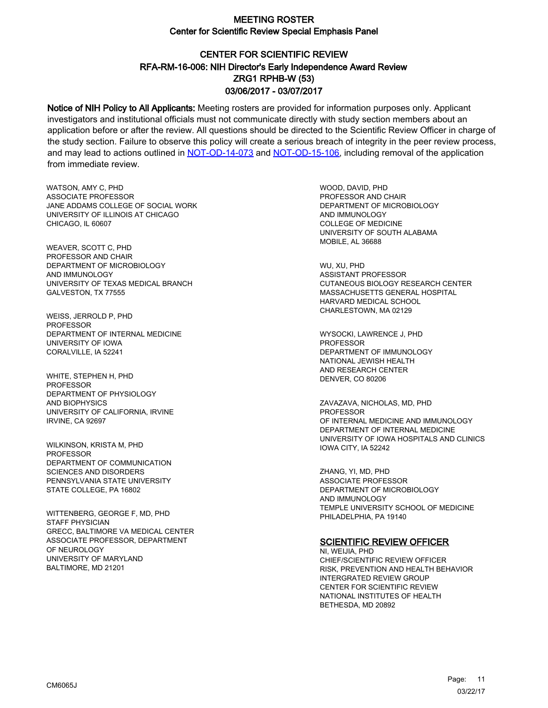# CENTER FOR SCIENTIFIC REVIEW ZRG1 RPHB-W (53) 03/06/2017 - 03/07/2017 RFA-RM-16-006: NIH Director's Early Independence Award Review

Notice of NIH Policy to All Applicants: Meeting rosters are provided for information purposes only. Applicant investigators and institutional officials must not communicate directly with study section members about an application before or after the review. All questions should be directed to the Scientific Review Officer in charge of the study section. Failure to observe this policy will create a serious breach of integrity in the peer review process, and may lead to actions outlined in [NOT-OD-14-073](https://grants.nih.gov/grants/guide/notice-files/NOT-OD-14-073.html) and [NOT-OD-15-106,](https://grants.nih.gov/grants/guide/notice-files/NOT-OD-15-106.html) including removal of the application from immediate review.

WATSON, AMY C, PHD ASSOCIATE PROFESSOR JANE ADDAMS COLLEGE OF SOCIAL WORK UNIVERSITY OF ILLINOIS AT CHICAGO CHICAGO, IL 60607

WEAVER, SCOTT C, PHD PROFESSOR AND CHAIR DEPARTMENT OF MICROBIOLOGY AND IMMUNOLOGY UNIVERSITY OF TEXAS MEDICAL BRANCH GALVESTON, TX 77555

WEISS, JERROLD P, PHD PROFESSOR DEPARTMENT OF INTERNAL MEDICINE UNIVERSITY OF IOWA CORALVILLE, IA 52241

WHITE, STEPHEN H, PHD PROFESSOR DEPARTMENT OF PHYSIOLOGY AND BIOPHYSICS UNIVERSITY OF CALIFORNIA, IRVINE IRVINE, CA 92697

WILKINSON, KRISTA M, PHD PROFESSOR DEPARTMENT OF COMMUNICATION SCIENCES AND DISORDERS PENNSYLVANIA STATE UNIVERSITY STATE COLLEGE, PA 16802

WITTENBERG, GEORGE F, MD, PHD STAFF PHYSICIAN GRECC, BALTIMORE VA MEDICAL CENTER ASSOCIATE PROFESSOR, DEPARTMENT OF NEUROLOGY UNIVERSITY OF MARYLAND BALTIMORE, MD 21201

WOOD, DAVID, PHD PROFESSOR AND CHAIR DEPARTMENT OF MICROBIOLOGY AND IMMUNOLOGY COLLEGE OF MEDICINE UNIVERSITY OF SOUTH ALABAMA MOBILE, AL 36688

WU, XU, PHD ASSISTANT PROFESSOR CUTANEOUS BIOLOGY RESEARCH CENTER MASSACHUSETTS GENERAL HOSPITAL HARVARD MEDICAL SCHOOL CHARLESTOWN, MA 02129

WYSOCKI, LAWRENCE J, PHD **PROFESSOR** DEPARTMENT OF IMMUNOLOGY NATIONAL JEWISH HEALTH AND RESEARCH CENTER DENVER, CO 80206

ZAVAZAVA, NICHOLAS, MD, PHD PROFESSOR OF INTERNAL MEDICINE AND IMMUNOLOGY DEPARTMENT OF INTERNAL MEDICINE UNIVERSITY OF IOWA HOSPITALS AND CLINICS IOWA CITY, IA 52242

ZHANG, YI, MD, PHD ASSOCIATE PROFESSOR DEPARTMENT OF MICROBIOLOGY AND IMMUNOLOGY TEMPLE UNIVERSITY SCHOOL OF MEDICINE PHILADELPHIA, PA 19140

#### **SCIENTIFIC REVIEW OFFICER**

NI, WEIJIA, PHD CHIEF/SCIENTIFIC REVIEW OFFICER RISK, PREVENTION AND HEALTH BEHAVIOR INTERGRATED REVIEW GROUP CENTER FOR SCIENTIFIC REVIEW NATIONAL INSTITUTES OF HEALTH BETHESDA, MD 20892